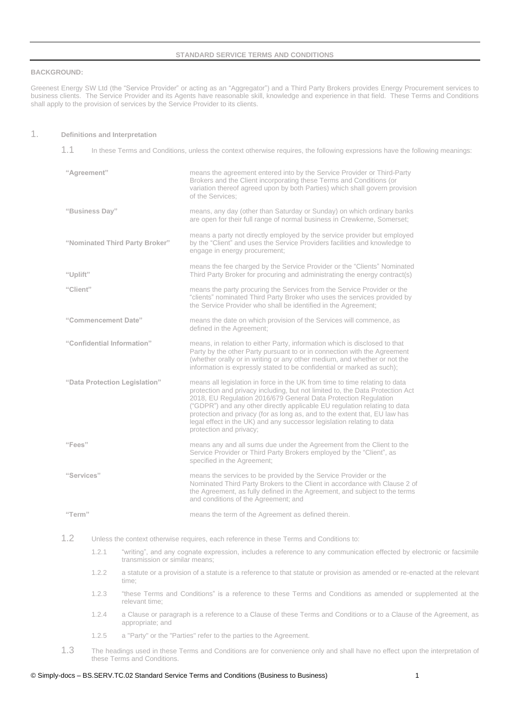#### **STANDARD SERVICE TERMS AND CONDITIONS**

#### **BACKGROUND:**

Greenest Energy SW Ltd (the "Service Provider" or acting as an "Aggregator") and a Third Party Brokers provides Energy Procurement services to business clients. The Service Provider and its Agents have reasonable skill, knowledge and experience in that field. These Terms and Conditions shall apply to the provision of services by the Service Provider to its clients.

#### 1. **Definitions and Interpretation**

1.1 In these Terms and Conditions, unless the context otherwise requires, the following expressions have the following meanings:

| "Agreement"                    |       |                                                                                                                                                        | means the agreement entered into by the Service Provider or Third-Party<br>Brokers and the Client incorporating these Terms and Conditions (or<br>variation thereof agreed upon by both Parties) which shall govern provision<br>of the Services;                                                                                                                                                                                                                                               |
|--------------------------------|-------|--------------------------------------------------------------------------------------------------------------------------------------------------------|-------------------------------------------------------------------------------------------------------------------------------------------------------------------------------------------------------------------------------------------------------------------------------------------------------------------------------------------------------------------------------------------------------------------------------------------------------------------------------------------------|
| "Business Day"                 |       |                                                                                                                                                        | means, any day (other than Saturday or Sunday) on which ordinary banks<br>are open for their full range of normal business in Crewkerne, Somerset;                                                                                                                                                                                                                                                                                                                                              |
| "Nominated Third Party Broker" |       |                                                                                                                                                        | means a party not directly employed by the service provider but employed<br>by the "Client" and uses the Service Providers facilities and knowledge to<br>engage in energy procurement;                                                                                                                                                                                                                                                                                                         |
| "Uplift"                       |       |                                                                                                                                                        | means the fee charged by the Service Provider or the "Clients" Nominated<br>Third Party Broker for procuring and administrating the energy contract(s)                                                                                                                                                                                                                                                                                                                                          |
| "Client"                       |       |                                                                                                                                                        | means the party procuring the Services from the Service Provider or the<br>"clients" nominated Third Party Broker who uses the services provided by<br>the Service Provider who shall be identified in the Agreement;                                                                                                                                                                                                                                                                           |
| "Commencement Date"            |       |                                                                                                                                                        | means the date on which provision of the Services will commence, as<br>defined in the Agreement;                                                                                                                                                                                                                                                                                                                                                                                                |
| "Confidential Information"     |       |                                                                                                                                                        | means, in relation to either Party, information which is disclosed to that<br>Party by the other Party pursuant to or in connection with the Agreement<br>(whether orally or in writing or any other medium, and whether or not the<br>information is expressly stated to be confidential or marked as such);                                                                                                                                                                                   |
| "Data Protection Legislation"  |       |                                                                                                                                                        | means all legislation in force in the UK from time to time relating to data<br>protection and privacy including, but not limited to, the Data Protection Act<br>2018, EU Regulation 2016/679 General Data Protection Regulation<br>("GDPR") and any other directly applicable EU regulation relating to data<br>protection and privacy (for as long as, and to the extent that, EU law has<br>legal effect in the UK) and any successor legislation relating to data<br>protection and privacy; |
| "Fees"                         |       |                                                                                                                                                        | means any and all sums due under the Agreement from the Client to the<br>Service Provider or Third Party Brokers employed by the "Client", as<br>specified in the Agreement;                                                                                                                                                                                                                                                                                                                    |
| "Services"                     |       |                                                                                                                                                        | means the services to be provided by the Service Provider or the<br>Nominated Third Party Brokers to the Client in accordance with Clause 2 of<br>the Agreement, as fully defined in the Agreement, and subject to the terms<br>and conditions of the Agreement; and                                                                                                                                                                                                                            |
| "Term"                         |       |                                                                                                                                                        | means the term of the Agreement as defined therein.                                                                                                                                                                                                                                                                                                                                                                                                                                             |
| 1.2                            |       |                                                                                                                                                        | Unless the context otherwise requires, each reference in these Terms and Conditions to:                                                                                                                                                                                                                                                                                                                                                                                                         |
|                                | 1.2.1 | "writing", and any cognate expression, includes a reference to any communication effected by electronic or facsimile<br>transmission or similar means; |                                                                                                                                                                                                                                                                                                                                                                                                                                                                                                 |
|                                | 1.2.2 | a statute or a provision of a statute is a reference to that statute or provision as amended or re-enacted at the relevant<br>time:                    |                                                                                                                                                                                                                                                                                                                                                                                                                                                                                                 |
|                                | 1.2.3 |                                                                                                                                                        | "these Terms and Conditions" is a reference to these Terms and Conditions as amended or supplemented at the                                                                                                                                                                                                                                                                                                                                                                                     |

- relevant time; 1.2.4 a Clause or paragraph is a reference to a Clause of these Terms and Conditions or to a Clause of the Agreement, as appropriate; and
- 1.2.5 a "Party" or the "Parties" refer to the parties to the Agreement.
- 1.3 The headings used in these Terms and Conditions are for convenience only and shall have no effect upon the interpretation of these Terms and Conditions.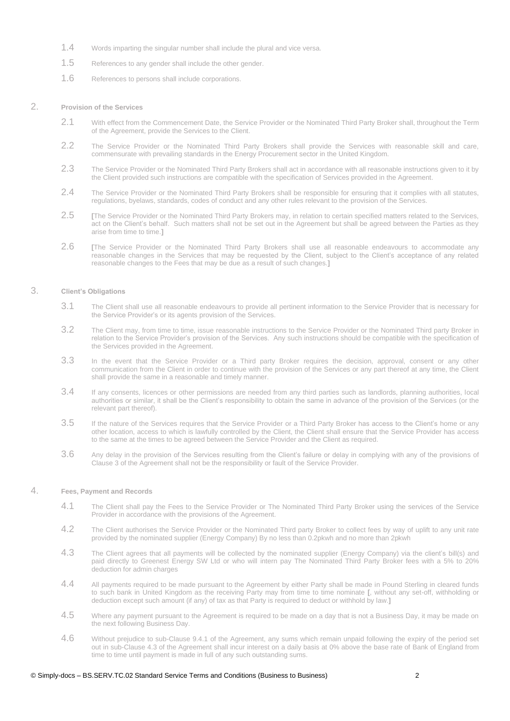- 1.4 Words imparting the singular number shall include the plural and vice versa.
- 1.5 References to any gender shall include the other gender.
- 1.6 References to persons shall include corporations.

### 2. **Provision of the Services**

- 2.1 With effect from the Commencement Date, the Service Provider or the Nominated Third Party Broker shall, throughout the Term of the Agreement, provide the Services to the Client.
- 2.2 The Service Provider or the Nominated Third Party Brokers shall provide the Services with reasonable skill and care, commensurate with prevailing standards in the Energy Procurement sector in the United Kingdom.
- 2.3 The Service Provider or the Nominated Third Party Brokers shall act in accordance with all reasonable instructions given to it by the Client provided such instructions are compatible with the specification of Services provided in the Agreement.
- 2.4 The Service Provider or the Nominated Third Party Brokers shall be responsible for ensuring that it complies with all statutes, regulations, byelaws, standards, codes of conduct and any other rules relevant to the provision of the Services.
- 2.5 **[**The Service Provider or the Nominated Third Party Brokers may, in relation to certain specified matters related to the Services, act on the Client's behalf. Such matters shall not be set out in the Agreement but shall be agreed between the Parties as they arise from time to time.**]**
- 2.6 **[**The Service Provider or the Nominated Third Party Brokers shall use all reasonable endeavours to accommodate any reasonable changes in the Services that may be requested by the Client, subject to the Client's acceptance of any related reasonable changes to the Fees that may be due as a result of such changes.**]**

# 3. **Client's Obligations**

- 3.1 The Client shall use all reasonable endeavours to provide all pertinent information to the Service Provider that is necessary for the Service Provider's or its agents provision of the Services.
- 3.2 The Client may, from time to time, issue reasonable instructions to the Service Provider or the Nominated Third party Broker in relation to the Service Provider's provision of the Services. Any such instructions should be compatible with the specification of the Services provided in the Agreement.
- 3.3 In the event that the Service Provider or a Third party Broker requires the decision, approval, consent or any other communication from the Client in order to continue with the provision of the Services or any part thereof at any time, the Client shall provide the same in a reasonable and timely manner.
- 3.4 If any consents, licences or other permissions are needed from any third parties such as landlords, planning authorities, local authorities or similar, it shall be the Client's responsibility to obtain the same in advance of the provision of the Services (or the relevant part thereof).
- 3.5 If the nature of the Services requires that the Service Provider or a Third Party Broker has access to the Client's home or any other location, access to which is lawfully controlled by the Client, the Client shall ensure that the Service Provider has access to the same at the times to be agreed between the Service Provider and the Client as required.
- 3.6 Any delay in the provision of the Services resulting from the Client's failure or delay in complying with any of the provisions of Clause 3 of the Agreement shall not be the responsibility or fault of the Service Provider.

# 4. **Fees, Payment and Records**

- 4.1 The Client shall pay the Fees to the Service Provider or The Nominated Third Party Broker using the services of the Service Provider in accordance with the provisions of the Agreement.
- 4.2 The Client authorises the Service Provider or the Nominated Third party Broker to collect fees by way of uplift to any unit rate provided by the nominated supplier (Energy Company) By no less than 0.2pkwh and no more than 2pkwh
- 4.3 The Client agrees that all payments will be collected by the nominated supplier (Energy Company) via the client's bill(s) and paid directly to Greenest Energy SW Ltd or who will intern pay The Nominated Third Party Broker fees with a 5% to 20% deduction for admin charges
- 4.4 All payments required to be made pursuant to the Agreement by either Party shall be made in Pound Sterling in cleared funds to such bank in United Kingdom as the receiving Party may from time to time nominate **[**, without any set-off, withholding or deduction except such amount (if any) of tax as that Party is required to deduct or withhold by law.**]**
- 4.5 Where any payment pursuant to the Agreement is required to be made on a day that is not a Business Day, it may be made on the next following Business Day.
- 4.6 Without prejudice to sub-Clause 9.4.1 of the Agreement, any sums which remain unpaid following the expiry of the period set out in sub-Clause 4.3 of the Agreement shall incur interest on a daily basis at 0% above the base rate of Bank of England from time to time until payment is made in full of any such outstanding sums.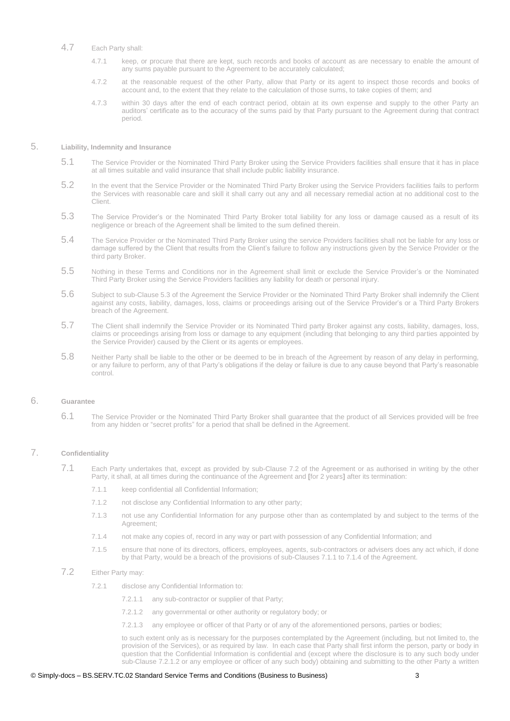## 4.7 Each Party shall:

- 4.7.1 keep, or procure that there are kept, such records and books of account as are necessary to enable the amount of any sums payable pursuant to the Agreement to be accurately calculated;
- 4.7.2 at the reasonable request of the other Party, allow that Party or its agent to inspect those records and books of account and, to the extent that they relate to the calculation of those sums, to take copies of them; and
- 4.7.3 within 30 days after the end of each contract period, obtain at its own expense and supply to the other Party an auditors' certificate as to the accuracy of the sums paid by that Party pursuant to the Agreement during that contract period.

#### 5. **Liability, Indemnity and Insurance**

- 5.1 The Service Provider or the Nominated Third Party Broker using the Service Providers facilities shall ensure that it has in place at all times suitable and valid insurance that shall include public liability insurance.
- 5.2 In the event that the Service Provider or the Nominated Third Party Broker using the Service Providers facilities fails to perform the Services with reasonable care and skill it shall carry out any and all necessary remedial action at no additional cost to the Client.
- 5.3 The Service Provider's or the Nominated Third Party Broker total liability for any loss or damage caused as a result of its negligence or breach of the Agreement shall be limited to the sum defined therein.
- 5.4 The Service Provider or the Nominated Third Party Broker using the service Providers facilities shall not be liable for any loss or damage suffered by the Client that results from the Client's failure to follow any instructions given by the Service Provider or the third party Broker.
- 5.5 Nothing in these Terms and Conditions nor in the Agreement shall limit or exclude the Service Provider's or the Nominated Third Party Broker using the Service Providers facilities any liability for death or personal injury.
- 5.6 Subject to sub-Clause 5.3 of the Agreement the Service Provider or the Nominated Third Party Broker shall indemnify the Client against any costs, liability, damages, loss, claims or proceedings arising out of the Service Provider's or a Third Party Brokers breach of the Agreement.
- 5.7 The Client shall indemnify the Service Provider or its Nominated Third party Broker against any costs, liability, damages, loss, claims or proceedings arising from loss or damage to any equipment (including that belonging to any third parties appointed by the Service Provider) caused by the Client or its agents or employees.
- 5.8 Neither Party shall be liable to the other or be deemed to be in breach of the Agreement by reason of any delay in performing, or any failure to perform, any of that Party's obligations if the delay or failure is due to any cause beyond that Party's reasonable control.

#### 6. **Guarantee**

6.1 The Service Provider or the Nominated Third Party Broker shall guarantee that the product of all Services provided will be free from any hidden or "secret profits" for a period that shall be defined in the Agreement.

# 7. **Confidentiality**

- 7.1 Each Party undertakes that, except as provided by sub-Clause 7.2 of the Agreement or as authorised in writing by the other Party, it shall, at all times during the continuance of the Agreement and **[**for 2 years**]** after its termination:
	- 7.1.1 keep confidential all Confidential Information;
	- 7.1.2 not disclose any Confidential Information to any other party;
	- 7.1.3 not use any Confidential Information for any purpose other than as contemplated by and subject to the terms of the Agreement;
	- 7.1.4 not make any copies of, record in any way or part with possession of any Confidential Information; and
	- 7.1.5 ensure that none of its directors, officers, employees, agents, sub-contractors or advisers does any act which, if done by that Party, would be a breach of the provisions of sub-Clauses 7.1.1 to 7.1.4 of the Agreement.
- 7.2 Either Party may:
	- 7.2.1 disclose any Confidential Information to:
		- 7.2.1.1 any sub-contractor or supplier of that Party;
		- 7.2.1.2 any governmental or other authority or regulatory body; or
		- 7.2.1.3 any employee or officer of that Party or of any of the aforementioned persons, parties or bodies;

to such extent only as is necessary for the purposes contemplated by the Agreement (including, but not limited to, the provision of the Services), or as required by law. In each case that Party shall first inform the person, party or body in question that the Confidential Information is confidential and (except where the disclosure is to any such body under sub-Clause 7.2.1.2 or any employee or officer of any such body) obtaining and submitting to the other Party a written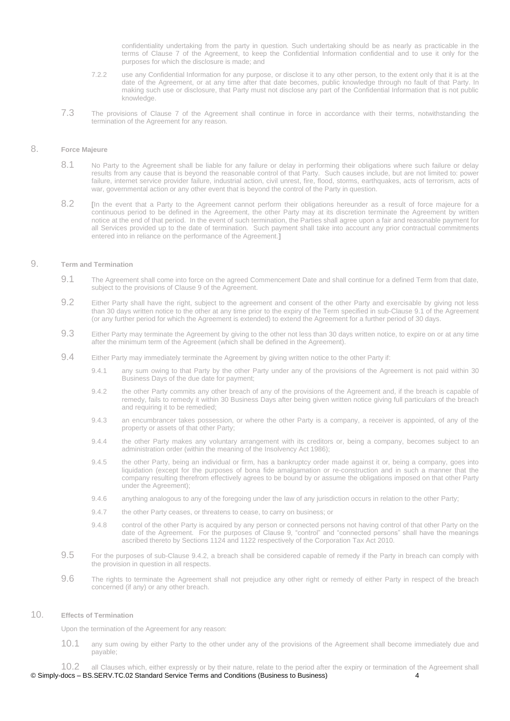confidentiality undertaking from the party in question. Such undertaking should be as nearly as practicable in the terms of Clause 7 of the Agreement, to keep the Confidential Information confidential and to use it only for the purposes for which the disclosure is made; and

- 7.2.2 use any Confidential Information for any purpose, or disclose it to any other person, to the extent only that it is at the date of the Agreement, or at any time after that date becomes, public knowledge through no fault of that Party. In making such use or disclosure, that Party must not disclose any part of the Confidential Information that is not public knowledge.
- 7.3 The provisions of Clause 7 of the Agreement shall continue in force in accordance with their terms, notwithstanding the termination of the Agreement for any reason.

# 8. **Force Majeure**

- 8.1 No Party to the Agreement shall be liable for any failure or delay in performing their obligations where such failure or delay results from any cause that is beyond the reasonable control of that Party. Such causes include, but are not limited to: power failure, internet service provider failure, industrial action, civil unrest, fire, flood, storms, earthquakes, acts of terrorism, acts of war, governmental action or any other event that is beyond the control of the Party in question.
- 8.2 **In the event that a Party to the Agreement cannot perform their obligations hereunder as a result of force majeure for a** continuous period to be defined in the Agreement, the other Party may at its discretion terminate the Agreement by written notice at the end of that period. In the event of such termination, the Parties shall agree upon a fair and reasonable payment for all Services provided up to the date of termination. Such payment shall take into account any prior contractual commitments entered into in reliance on the performance of the Agreement.<sup>1</sup>

### 9. **Term and Termination**

- 9.1 The Agreement shall come into force on the agreed Commencement Date and shall continue for a defined Term from that date, subject to the provisions of Clause 9 of the Agreement.
- 9.2 Either Party shall have the right, subject to the agreement and consent of the other Party and exercisable by giving not less than 30 days written notice to the other at any time prior to the expiry of the Term specified in sub-Clause 9.1 of the Agreement (or any further period for which the Agreement is extended) to extend the Agreement for a further period of 30 days.
- 9.3 Either Party may terminate the Agreement by giving to the other not less than 30 days written notice, to expire on or at any time after the minimum term of the Agreement (which shall be defined in the Agreement).
- 9.4 Either Party may immediately terminate the Agreement by giving written notice to the other Party if:
	- 9.4.1 any sum owing to that Party by the other Party under any of the provisions of the Agreement is not paid within 30 Business Days of the due date for payment;
	- 9.4.2 the other Party commits any other breach of any of the provisions of the Agreement and, if the breach is capable of remedy, fails to remedy it within 30 Business Days after being given written notice giving full particulars of the breach and requiring it to be remedied;
	- 9.4.3 an encumbrancer takes possession, or where the other Party is a company, a receiver is appointed, of any of the property or assets of that other Party;
	- 9.4.4 the other Party makes any voluntary arrangement with its creditors or, being a company, becomes subject to an administration order (within the meaning of the Insolvency Act 1986);
	- 9.4.5 the other Party, being an individual or firm, has a bankruptcy order made against it or, being a company, goes into liquidation (except for the purposes of bona fide amalgamation or re-construction and in such a manner that the company resulting therefrom effectively agrees to be bound by or assume the obligations imposed on that other Party under the Agreement);
	- 9.4.6 anything analogous to any of the foregoing under the law of any jurisdiction occurs in relation to the other Party;
	- 9.4.7 the other Party ceases, or threatens to cease, to carry on business; or
	- 9.4.8 control of the other Party is acquired by any person or connected persons not having control of that other Party on the date of the Agreement. For the purposes of Clause 9, "control" and "connected persons" shall have the meanings ascribed thereto by Sections 1124 and 1122 respectively of the Corporation Tax Act 2010.
- 9.5 For the purposes of sub-Clause 9.4.2, a breach shall be considered capable of remedy if the Party in breach can comply with the provision in question in all respects.
- 9.6 The rights to terminate the Agreement shall not prejudice any other right or remedy of either Party in respect of the breach concerned (if any) or any other breach.

# 10. **Effects of Termination**

Upon the termination of the Agreement for any reason:

10.1 any sum owing by either Party to the other under any of the provisions of the Agreement shall become immediately due and payable;

© Simply-docs – BS.SERV.TC.02 Standard Service Terms and Conditions (Business to Business) 4 10.2 all Clauses which, either expressly or by their nature, relate to the period after the expiry or termination of the Agreement shall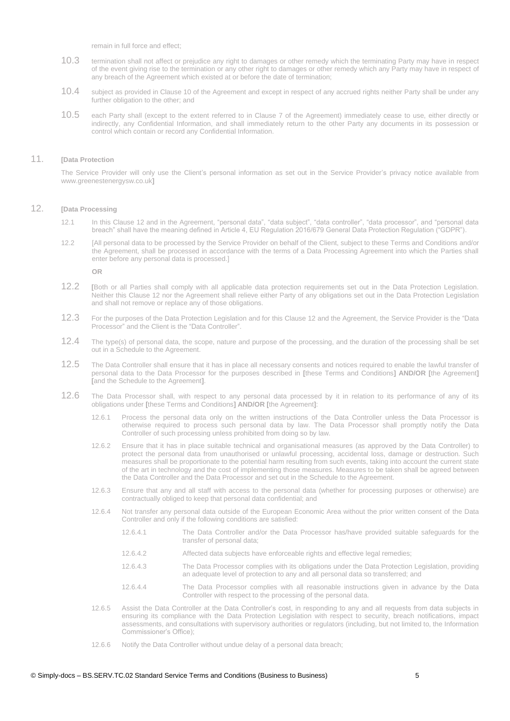remain in full force and effect;

- 10.3 termination shall not affect or prejudice any right to damages or other remedy which the terminating Party may have in respect of the event giving rise to the termination or any other right to damages or other remedy which any Party may have in respect of any breach of the Agreement which existed at or before the date of termination;
- 10.4 subject as provided in Clause 10 of the Agreement and except in respect of any accrued rights neither Party shall be under any further obligation to the other; and
- 10.5 each Party shall (except to the extent referred to in Clause 7 of the Agreement) immediately cease to use, either directly or indirectly, any Confidential Information, and shall immediately return to the other Party any documents in its possession or control which contain or record any Confidential Information.

#### 11. **[Data Protection**

The Service Provider will only use the Client's personal information as set out in the Service Provider's privacy notice available from www.greenestenergysw.co.uk**]**

#### 12. **[Data Processing**

- 12.1 In this Clause 12 and in the Agreement, "personal data", "data subject", "data controller", "data processor", and "personal data breach" shall have the meaning defined in Article 4, EU Regulation 2016/679 General Data Protection Regulation ("GDPR").
- 12.2 [All personal data to be processed by the Service Provider on behalf of the Client, subject to these Terms and Conditions and/or the Agreement, shall be processed in accordance with the terms of a Data Processing Agreement into which the Parties shall enter before any personal data is processed.]

**OR**

- 12.2 **[**Both or all Parties shall comply with all applicable data protection requirements set out in the Data Protection Legislation. Neither this Clause 12 nor the Agreement shall relieve either Party of any obligations set out in the Data Protection Legislation and shall not remove or replace any of those obligations.
- 12.3 For the purposes of the Data Protection Legislation and for this Clause 12 and the Agreement, the Service Provider is the "Data Processor" and the Client is the "Data Controller".
- 12.4 The type(s) of personal data, the scope, nature and purpose of the processing, and the duration of the processing shall be set out in a Schedule to the Agreement.
- 12.5 The Data Controller shall ensure that it has in place all necessary consents and notices required to enable the lawful transfer of personal data to the Data Processor for the purposes described in **[**these Terms and Conditions**] AND/OR [**the Agreement**] [**and the Schedule to the Agreement**]**.
- 12.6 The Data Processor shall, with respect to any personal data processed by it in relation to its performance of any of its obligations under **[**these Terms and Conditions**] AND/OR [**the Agreement**]**:
	- 12.6.1 Process the personal data only on the written instructions of the Data Controller unless the Data Processor is otherwise required to process such personal data by law. The Data Processor shall promptly notify the Data Controller of such processing unless prohibited from doing so by law.
	- 12.6.2 Ensure that it has in place suitable technical and organisational measures (as approved by the Data Controller) to protect the personal data from unauthorised or unlawful processing, accidental loss, damage or destruction. Such measures shall be proportionate to the potential harm resulting from such events, taking into account the current state of the art in technology and the cost of implementing those measures. Measures to be taken shall be agreed between the Data Controller and the Data Processor and set out in the Schedule to the Agreement.
	- 12.6.3 Ensure that any and all staff with access to the personal data (whether for processing purposes or otherwise) are contractually obliged to keep that personal data confidential; and
	- 12.6.4 Not transfer any personal data outside of the European Economic Area without the prior written consent of the Data Controller and only if the following conditions are satisfied:
		- 12.6.4.1 The Data Controller and/or the Data Processor has/have provided suitable safeguards for the transfer of personal data;
		- 12.6.4.2 Affected data subjects have enforceable rights and effective legal remedies;
		- 12.6.4.3 The Data Processor complies with its obligations under the Data Protection Legislation, providing an adequate level of protection to any and all personal data so transferred; and
		- 12.6.4.4 The Data Processor complies with all reasonable instructions given in advance by the Data Controller with respect to the processing of the personal data.
	- 12.6.5 Assist the Data Controller at the Data Controller's cost, in responding to any and all requests from data subjects in ensuring its compliance with the Data Protection Legislation with respect to security, breach notifications, impact assessments, and consultations with supervisory authorities or regulators (including, but not limited to, the Information Commissioner's Office);
	- 12.6.6 Notify the Data Controller without undue delay of a personal data breach;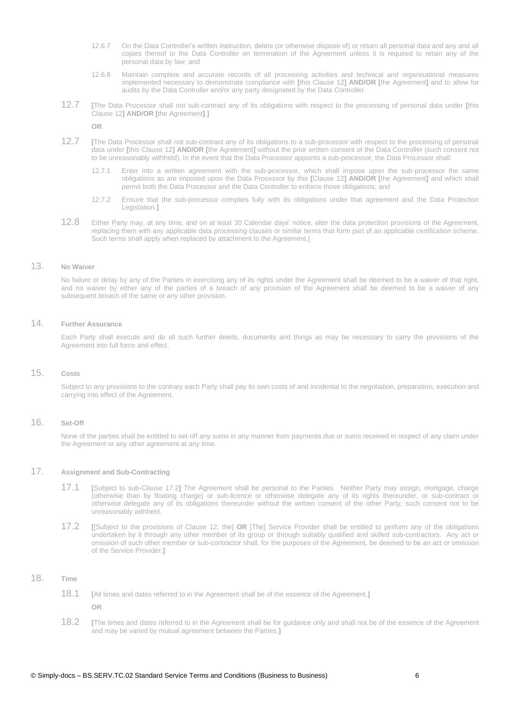- 12.6.7 On the Data Controller's written instruction, delete (or otherwise dispose of) or return all personal data and any and all copies thereof to the Data Controller on termination of the Agreement unless it is required to retain any of the personal data by law; and
- 12.6.8 Maintain complete and accurate records of all processing activities and technical and organisational measures implemented necessary to demonstrate compliance with **[**this Clause 12**] AND/OR [**the Agreement**]** and to allow for audits by the Data Controller and/or any party designated by the Data Controller.
- 12.7 **[**The Data Processor shall not sub-contract any of its obligations with respect to the processing of personal data under **[**this Clause 12**] AND/OR [**the Agreement**]**.**]**

**OR**

- 12.7 **[**The Data Processor shall not sub-contract any of its obligations to a sub-processor with respect to the processing of personal data under **[**this Clause 12**] AND/OR [**the Agreement**]** without the prior written consent of the Data Controller (such consent not to be unreasonably withheld). In the event that the Data Processor appoints a sub-processor, the Data Processor shall:
	- 12.7.1 Enter into a written agreement with the sub-processor, which shall impose upon the sub-processor the same obligations as are imposed upon the Data Processor by this **[**Clause 12**] AND/OR [**the Agreement**]** and which shall permit both the Data Processor and the Data Controller to enforce those obligations; and
	- 12.7.2 Ensure that the sub-processor complies fully with its obligations under that agreement and the Data Protection Legislation.**]**
- 12.8 Either Party may, at any time, and on at least 30 Calendar days' notice, alter the data protection provisions of the Agreement, replacing them with any applicable data processing clauses or similar terms that form part of an applicable certification scheme. Such terms shall apply when replaced by attachment to the Agreement.]

#### 13. **No Waiver**

No failure or delay by any of the Parties in exercising any of its rights under the Agreement shall be deemed to be a waiver of that right, and no waiver by either any of the parties of a breach of any provision of the Agreement shall be deemed to be a waiver of any subsequent breach of the same or any other provision.

# 14. **Further Assurance**

Each Party shall execute and do all such further deeds, documents and things as may be necessary to carry the provisions of the Agreement into full force and effect.

### 15. **Costs**

Subject to any provisions to the contrary each Party shall pay its own costs of and incidental to the negotiation, preparation, execution and carrying into effect of the Agreement.

# 16. **Set-Off**

None of the parties shall be entitled to set-off any sums in any manner from payments due or sums received in respect of any claim under the Agreement or any other agreement at any time.

## 17. **Assignment and Sub-Contracting**

- 17.1 **[**Subject to sub-Clause 17.2**]** The Agreement shall be personal to the Parties. Neither Party may assign, mortgage, charge (otherwise than by floating charge) or sub-licence or otherwise delegate any of its rights thereunder, or sub-contract or otherwise delegate any of its obligations thereunder without the written consent of the other Party, such consent not to be unreasonably withheld.
- 17.2 **[**[Subject to the provisions of Clause 12, the] **OR** [The] Service Provider shall be entitled to perform any of the obligations undertaken by it through any other member of its group or through suitably qualified and skilled sub-contractors. Any act or omission of such other member or sub-contractor shall, for the purposes of the Agreement, be deemed to be an act or omission of the Service Provider.**]**

#### 18. **Time**

- 18.1 **[**All times and dates referred to in the Agreement shall be of the essence of the Agreement.**]**
	- **OR**
- 18.2 **[**The times and dates referred to in the Agreement shall be for guidance only and shall not be of the essence of the Agreement and may be varied by mutual agreement between the Parties.**]**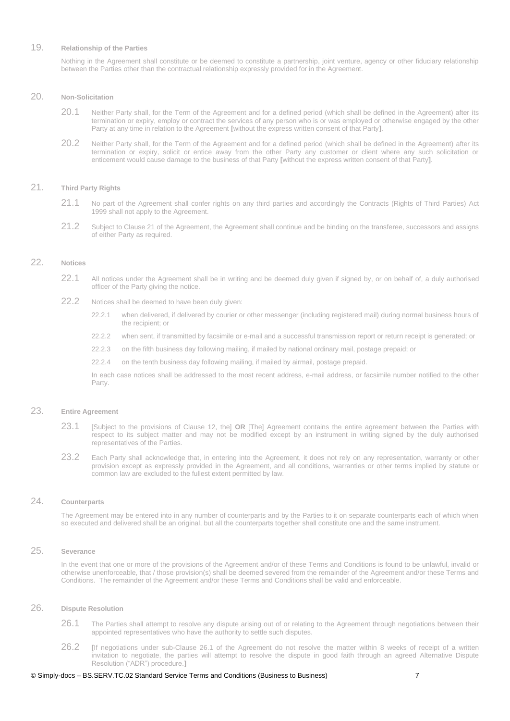# 19. **Relationship of the Parties**

Nothing in the Agreement shall constitute or be deemed to constitute a partnership, joint venture, agency or other fiduciary relationship between the Parties other than the contractual relationship expressly provided for in the Agreement.

#### 20. **Non-Solicitation**

- 20.1 Neither Party shall, for the Term of the Agreement and for a defined period (which shall be defined in the Agreement) after its termination or expiry, employ or contract the services of any person who is or was employed or otherwise engaged by the other Party at any time in relation to the Agreement **[**without the express written consent of that Party**]**.
- 20.2 Neither Party shall, for the Term of the Agreement and for a defined period (which shall be defined in the Agreement) after its termination or expiry, solicit or entice away from the other Party any customer or client where any such solicitation or enticement would cause damage to the business of that Party **[**without the express written consent of that Party**]**.

### 21. **Third Party Rights**

- 21.1 No part of the Agreement shall confer rights on any third parties and accordingly the Contracts (Rights of Third Parties) Act 1999 shall not apply to the Agreement.
- 21.2 Subject to Clause 21 of the Agreement, the Agreement shall continue and be binding on the transferee, successors and assigns of either Party as required.

# 22. **Notices**

- 22.1 All notices under the Agreement shall be in writing and be deemed duly given if signed by, or on behalf of, a duly authorised officer of the Party giving the notice.
- 22.2 Notices shall be deemed to have been duly given:
	- 22.2.1 when delivered, if delivered by courier or other messenger (including registered mail) during normal business hours of the recipient; or
	- 22.2.2 when sent, if transmitted by facsimile or e-mail and a successful transmission report or return receipt is generated; or
	- 22.2.3 on the fifth business day following mailing, if mailed by national ordinary mail, postage prepaid; or
	- 22.2.4 on the tenth business day following mailing, if mailed by airmail, postage prepaid.

In each case notices shall be addressed to the most recent address, e-mail address, or facsimile number notified to the other Party.

## 23. **Entire Agreement**

- 23.1 [Subject to the provisions of Clause 12, the] **OR** [The] Agreement contains the entire agreement between the Parties with respect to its subject matter and may not be modified except by an instrument in writing signed by the duly authorised representatives of the Parties.
- 23.2 Each Party shall acknowledge that, in entering into the Agreement, it does not rely on any representation, warranty or other provision except as expressly provided in the Agreement, and all conditions, warranties or other terms implied by statute or common law are excluded to the fullest extent permitted by law.

# 24. **Counterparts**

The Agreement may be entered into in any number of counterparts and by the Parties to it on separate counterparts each of which when so executed and delivered shall be an original, but all the counterparts together shall constitute one and the same instrument.

# 25. **Severance**

In the event that one or more of the provisions of the Agreement and/or of these Terms and Conditions is found to be unlawful, invalid or otherwise unenforceable, that / those provision(s) shall be deemed severed from the remainder of the Agreement and/or these Terms and Conditions. The remainder of the Agreement and/or these Terms and Conditions shall be valid and enforceable.

#### 26. **Dispute Resolution**

- 26.1 The Parties shall attempt to resolve any dispute arising out of or relating to the Agreement through negotiations between their appointed representatives who have the authority to settle such disputes.
- 26.2 **[**If negotiations under sub-Clause 26.1 of the Agreement do not resolve the matter within 8 weeks of receipt of a written invitation to negotiate, the parties will attempt to resolve the dispute in good faith through an agreed Alternative Dispute Resolution ("ADR") procedure.**]**

#### © Simply-docs – BS.SERV.TC.02 Standard Service Terms and Conditions (Business to Business) 7